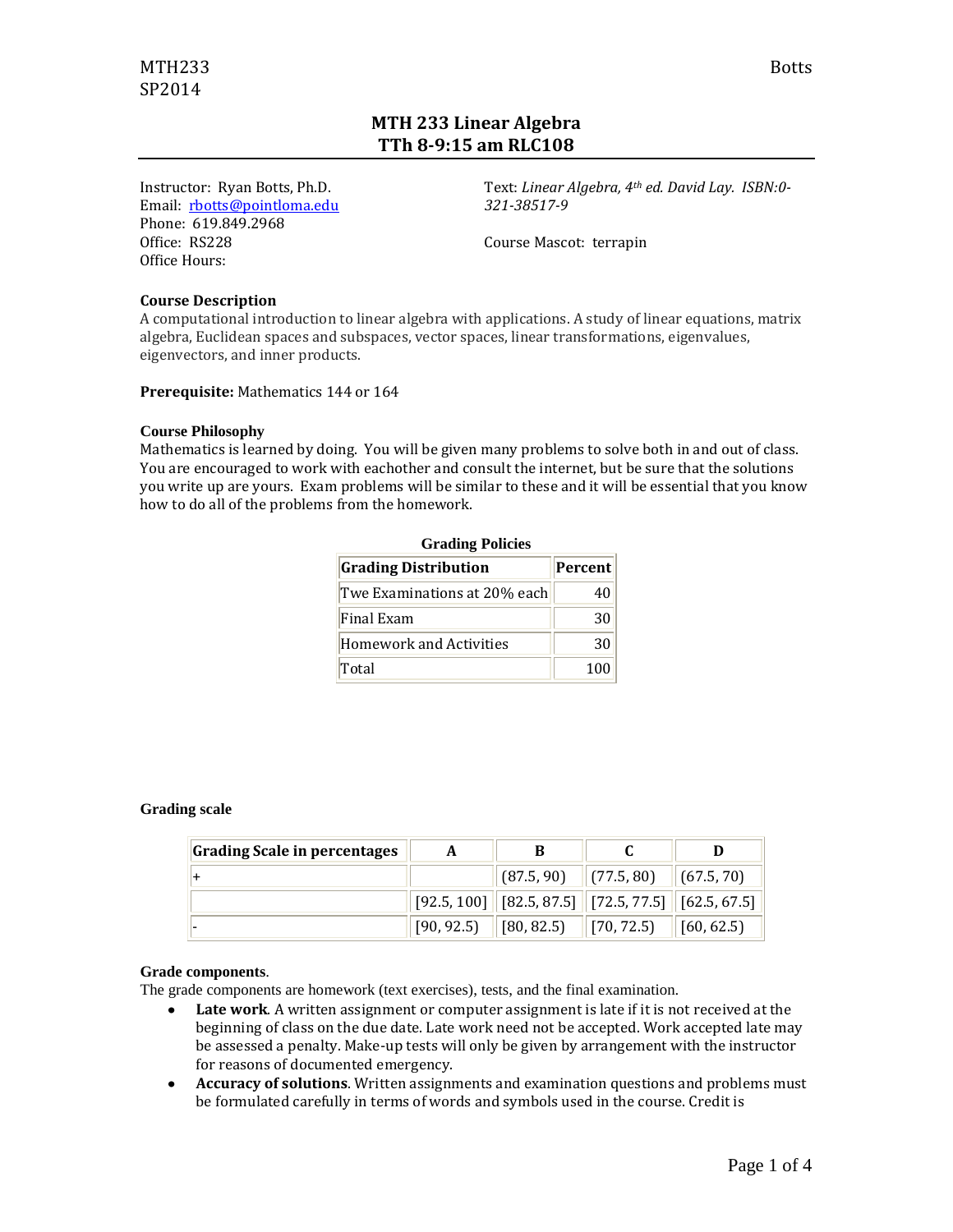# **MTH 233 Linear Algebra TTh 8-9:15 am RLC108**

Instructor: Ryan Botts, Ph.D. Email: [rbotts@pointloma.edu](mailto:rbotts@pointloma.edu) Phone: 619.849.2968 Office: RS228 Office Hours:

Text: *Linear Algebra, 4th ed. David Lay. ISBN:0- 321-38517-9*

Course Mascot: terrapin

#### **Course Description**

A computational introduction to linear algebra with applications. A study of linear equations, matrix algebra, Euclidean spaces and subspaces, vector spaces, linear transformations, eigenvalues, eigenvectors, and inner products.

**Prerequisite:** Mathematics 144 or 164

#### **Course Philosophy**

Mathematics is learned by doing. You will be given many problems to solve both in and out of class. You are encouraged to work with eachother and consult the internet, but be sure that the solutions you write up are yours. Exam problems will be similar to these and it will be essential that you know how to do all of the problems from the homework.

| <b>Grading Policies</b>        |         |  |  |  |
|--------------------------------|---------|--|--|--|
| <b>Grading Distribution</b>    | Percent |  |  |  |
| Twe Examinations at 20% each   | 40      |  |  |  |
| Final Exam                     | 30      |  |  |  |
| <b>Homework and Activities</b> | 30      |  |  |  |
| Total                          | 100     |  |  |  |

#### **Grading scale**

| Grading Scale in percentages | A |                                                            |            |
|------------------------------|---|------------------------------------------------------------|------------|
|                              |   | $\ $ (87.5, 90) $\ $ (77.5, 80) $\ $ (67.5, 70)            |            |
|                              |   | $[92.5, 100]$ $[82.5, 87.5]$ $[72.5, 77.5]$ $[62.5, 67.5]$ |            |
|                              |   | $[90, 92.5]$ $[80, 82.5]$ $[70, 72.5]$                     | [60, 62.5] |

#### **Grade components**.

The grade components are homework (text exercises), tests, and the final examination.

- **Late work**. A written assignment or computer assignment is late if it is not received at the  $\bullet$ beginning of class on the due date. Late work need not be accepted. Work accepted late may be assessed a penalty. Make-up tests will only be given by arrangement with the instructor for reasons of documented emergency.
- **Accuracy of solutions**. Written assignments and examination questions and problems must  $\bullet$ be formulated carefully in terms of words and symbols used in the course. Credit is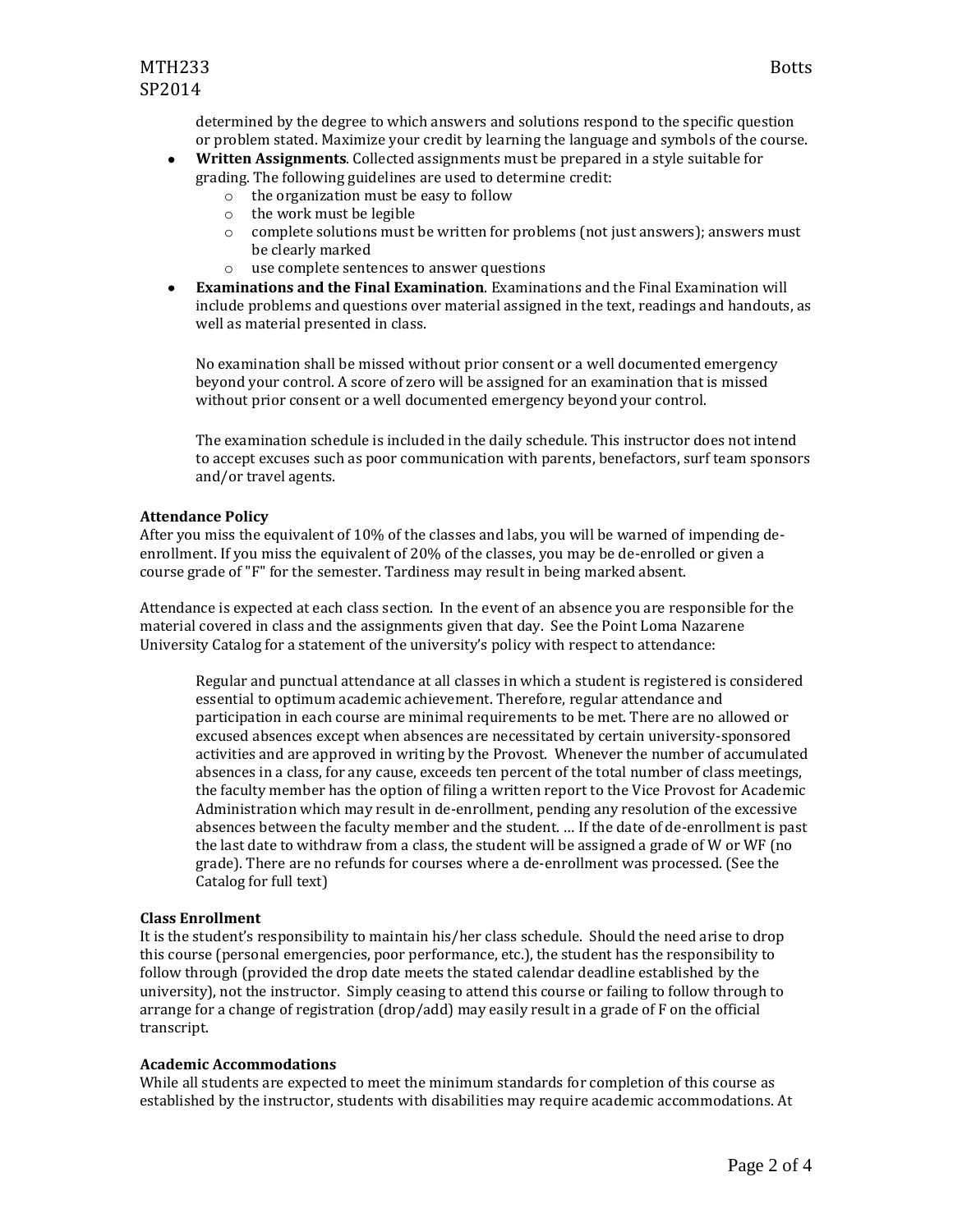determined by the degree to which answers and solutions respond to the specific question or problem stated. Maximize your credit by learning the language and symbols of the course.

- **Written Assignments**. Collected assignments must be prepared in a style suitable for grading. The following guidelines are used to determine credit:
	- o the organization must be easy to follow
	- o the work must be legible
	- o complete solutions must be written for problems (not just answers); answers must be clearly marked
	- o use complete sentences to answer questions
- **Examinations and the Final Examination**. Examinations and the Final Examination will  $\bullet$ include problems and questions over material assigned in the text, readings and handouts, as well as material presented in class.

No examination shall be missed without prior consent or a well documented emergency beyond your control. A score of zero will be assigned for an examination that is missed without prior consent or a well documented emergency beyond your control.

The examination schedule is included in the daily schedule. This instructor does not intend to accept excuses such as poor communication with parents, benefactors, surf team sponsors and/or travel agents.

#### **Attendance Policy**

After you miss the equivalent of 10% of the classes and labs, you will be warned of impending deenrollment. If you miss the equivalent of 20% of the classes, you may be de-enrolled or given a course grade of "F" for the semester. Tardiness may result in being marked absent.

Attendance is expected at each class section. In the event of an absence you are responsible for the material covered in class and the assignments given that day. See the Point Loma Nazarene University Catalog for a statement of the university's policy with respect to attendance:

Regular and punctual attendance at all classes in which a student is registered is considered essential to optimum academic achievement. Therefore, regular attendance and participation in each course are minimal requirements to be met. There are no allowed or excused absences except when absences are necessitated by certain university-sponsored activities and are approved in writing by the Provost. Whenever the number of accumulated absences in a class, for any cause, exceeds ten percent of the total number of class meetings, the faculty member has the option of filing a written report to the Vice Provost for Academic Administration which may result in de-enrollment, pending any resolution of the excessive absences between the faculty member and the student. … If the date of de-enrollment is past the last date to withdraw from a class, the student will be assigned a grade of W or WF (no grade). There are no refunds for courses where a de-enrollment was processed. (See the Catalog for full text)

#### **Class Enrollment**

It is the student's responsibility to maintain his/her class schedule. Should the need arise to drop this course (personal emergencies, poor performance, etc.), the student has the responsibility to follow through (provided the drop date meets the stated calendar deadline established by the university), not the instructor. Simply ceasing to attend this course or failing to follow through to arrange for a change of registration (drop/add) may easily result in a grade of F on the official transcript.

#### **Academic Accommodations**

While all students are expected to meet the minimum standards for completion of this course as established by the instructor, students with disabilities may require academic accommodations. At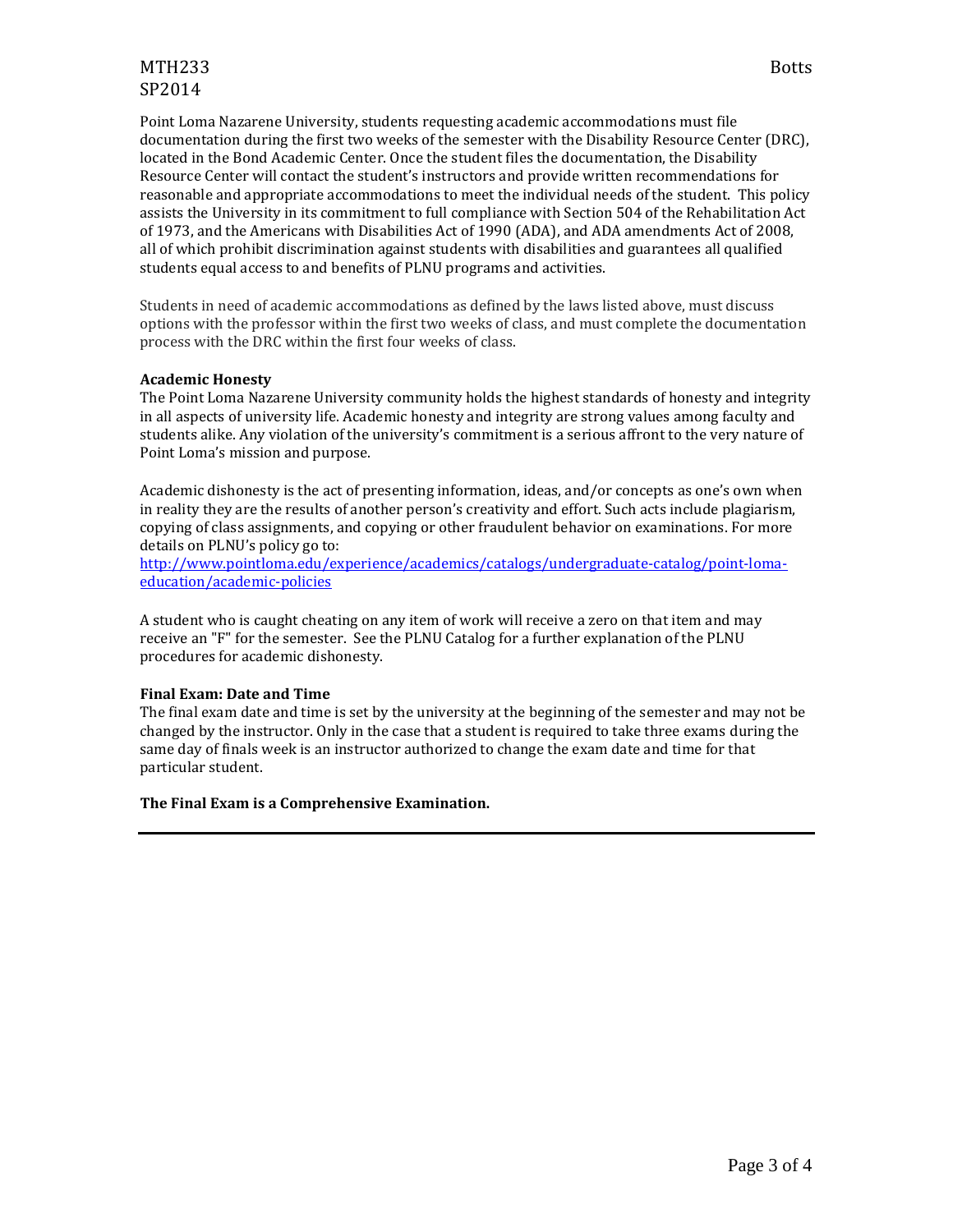## MTH233 Botts SP2014

Point Loma Nazarene University, students requesting academic accommodations must file documentation during the first two weeks of the semester with the Disability Resource Center (DRC), located in the Bond Academic Center. Once the student files the documentation, the Disability Resource Center will contact the student's instructors and provide written recommendations for reasonable and appropriate accommodations to meet the individual needs of the student. This policy assists the University in its commitment to full compliance with Section 504 of the Rehabilitation Act of 1973, and the Americans with Disabilities Act of 1990 (ADA), and ADA amendments Act of 2008, all of which prohibit discrimination against students with disabilities and guarantees all qualified students equal access to and benefits of PLNU programs and activities.

Students in need of academic accommodations as defined by the laws listed above, must discuss options with the professor within the first two weeks of class, and must complete the documentation process with the DRC within the first four weeks of class.

### **Academic Honesty**

The Point Loma Nazarene University community holds the highest standards of honesty and integrity in all aspects of university life. Academic honesty and integrity are strong values among faculty and students alike. Any violation of the university's commitment is a serious affront to the very nature of Point Loma's mission and purpose.

Academic dishonesty is the act of presenting information, ideas, and/or concepts as one's own when in reality they are the results of another person's creativity and effort. Such acts include plagiarism, copying of class assignments, and copying or other fraudulent behavior on examinations. For more details on PLNU's policy go to:

[http://www.pointloma.edu/experience/academics/catalogs/undergraduate-catalog/point-loma](http://www.pointloma.edu/experience/academics/catalogs/undergraduate-catalog/point-loma-education/academic-policies)[education/academic-policies](http://www.pointloma.edu/experience/academics/catalogs/undergraduate-catalog/point-loma-education/academic-policies)

A student who is caught cheating on any item of work will receive a zero on that item and may receive an "F" for the semester. See the PLNU Catalog for a further explanation of the PLNU procedures for academic dishonesty.

#### **Final Exam: Date and Time**

The final exam date and time is set by the university at the beginning of the semester and may not be changed by the instructor. Only in the case that a student is required to take three exams during the same day of finals week is an instructor authorized to change the exam date and time for that particular student.

#### **The Final Exam is a Comprehensive Examination.**